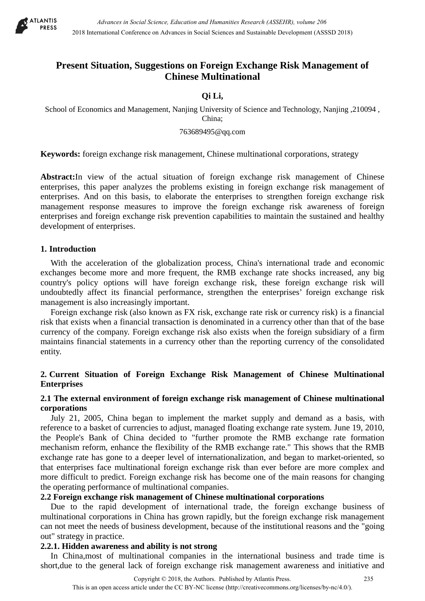

# **Present Situation, Suggestions on Foreign Exchange Risk Management of Chinese Multinational**

# **Qi Li,**

School of Economics and Management, Nanjing University of Science and Technology, Nanjing ,210094 , China;

#### 763689495@qq.com

**Keywords:** foreign exchange risk management, Chinese multinational corporations, strategy

**Abstract:**In view of the actual situation of foreign exchange risk management of Chinese enterprises, this paper analyzes the problems existing in foreign exchange risk management of enterprises. And on this basis, to elaborate the enterprises to strengthen foreign exchange risk management response measures to improve the foreign exchange risk awareness of foreign enterprises and foreign exchange risk prevention capabilities to maintain the sustained and healthy development of enterprises.

#### **1. Introduction**

With the acceleration of the globalization process, China's international trade and economic exchanges become more and more frequent, the RMB exchange rate shocks increased, any big country's policy options will have foreign exchange risk, these foreign exchange risk will undoubtedly affect its financial performance, strengthen the enterprises' foreign exchange risk management is also increasingly important.

Foreign exchange risk (also known as FX risk, exchange rate risk or currency risk) is a [financial](https://en.wikipedia.org/wiki/Financial_risk)  [risk](https://en.wikipedia.org/wiki/Financial_risk) that exists when a financial transaction is denominated in a [currency](https://en.wikipedia.org/wiki/Currency) other than that of the base currency of the company. Foreign exchange risk also exists when the foreign subsidiary of a firm maintains financial statements in a currency other than the reporting currency of the consolidated entity.

## **2. Current Situation of Foreign Exchange Risk Management of Chinese Multinational Enterprises**

## **2.1 The external environment of foreign exchange risk management of Chinese multinational corporations**

July 21, 2005, China began to implement the market supply and demand as a basis, with reference to a basket of currencies to adjust, managed floating exchange rate system. June 19, 2010, the People's Bank of China decided to "further promote the RMB exchange rate formation mechanism reform, enhance the flexibility of the RMB exchange rate." This shows that the RMB exchange rate has gone to a deeper level of internationalization, and began to market-oriented, so that enterprises face multinational foreign exchange risk than ever before are more complex and more difficult to predict. Foreign exchange risk has become one of the main reasons for changing the operating performance of multinational companies.

# **2.2 Foreign exchange risk management of Chinese multinational corporations**

Due to the rapid development of international trade, the foreign exchange business of multinational corporations in China has grown rapidly, but the foreign exchange risk management can not meet the needs of business development, because of the institutional reasons and the "going out" strategy in practice.

#### **2.2.1. Hidden awareness and ability is not strong**

In China,most of multinational companies in the international business and trade time is short,due to the general lack of foreign exchange risk management awareness and initiative and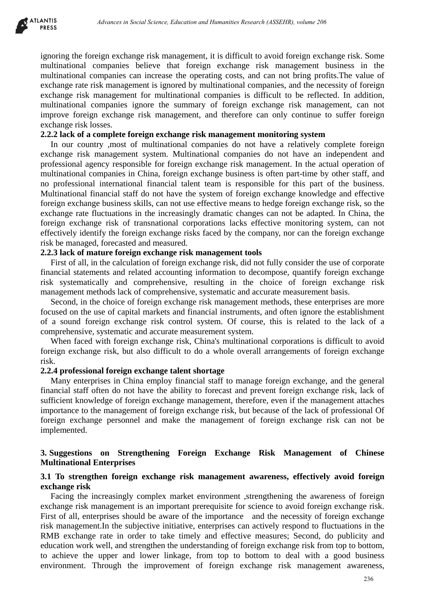

ignoring the foreign exchange risk management, it is difficult to avoid foreign exchange risk. Some multinational companies believe that foreign exchange risk management business in the multinational companies can increase the operating costs, and can not bring profits.The value of exchange rate risk management is ignored by multinational companies, and the necessity of foreign exchange risk management for multinational companies is difficult to be reflected. In addition, multinational companies ignore the summary of foreign exchange risk management, can not improve foreign exchange risk management, and therefore can only continue to suffer foreign exchange risk losses.

#### **2.2.2 lack of a complete foreign exchange risk management monitoring system**

In our country ,most of multinational companies do not have a relatively complete foreign exchange risk management system. Multinational companies do not have an independent and professional agency responsible for foreign exchange risk management. In the actual operation of multinational companies in China, foreign exchange business is often part-time by other staff, and no professional international financial talent team is responsible for this part of the business. Multinational financial staff do not have the system of foreign exchange knowledge and effective foreign exchange business skills, can not use effective means to hedge foreign exchange risk, so the exchange rate fluctuations in the increasingly dramatic changes can not be adapted. In China, the foreign exchange risk of transnational corporations lacks effective monitoring system, can not effectively identify the foreign exchange risks faced by the company, nor can the foreign exchange risk be managed, forecasted and measured. *Advances in Social Science, Education and Humanities Research (ASSEHR), where 266*<br>
Eign exchange risk, Tomponies believe that Ioteign exchange risk, Tomponies in University in<br>Sompanies con increase the operating costs,

## **2.2.3 lack of mature foreign exchange risk management tools**

First of all, in the calculation of foreign exchange risk, did not fully consider the use of corporate financial statements and related accounting information to decompose, quantify foreign exchange risk systematically and comprehensive, resulting in the choice of foreign exchange risk management methods lack of comprehensive, systematic and accurate measurement basis.

Second, in the choice of foreign exchange risk management methods, these enterprises are more focused on the use of capital markets and financial instruments, and often ignore the establishment of a sound foreign exchange risk control system. Of course, this is related to the lack of a comprehensive, systematic and accurate measurement system.

When faced with foreign exchange risk, China's multinational corporations is difficult to avoid foreign exchange risk, but also difficult to do a whole overall arrangements of foreign exchange risk.

#### **2.2.4 professional foreign exchange talent shortage**

Many enterprises in China employ financial staff to manage foreign exchange, and the general financial staff often do not have the ability to forecast and prevent foreign exchange risk, lack of sufficient knowledge of foreign exchange management, therefore, even if the management attaches importance to the management of foreign exchange risk, but because of the lack of professional Of foreign exchange personnel and make the management of foreign exchange risk can not be implemented.

## **3. Suggestions on Strengthening Foreign Exchange Risk Management of Chinese Multinational Enterprises**

#### **3.1 To strengthen foreign exchange risk management awareness, effectively avoid foreign exchange risk**

Facing the increasingly complex market environment ,strengthening the awareness of foreign exchange risk management is an important prerequisite for science to avoid foreign exchange risk. First of all, enterprises should be aware of the importance and the necessity of foreign exchange risk management.In the subjective initiative, enterprises can actively respond to fluctuations in the RMB exchange rate in order to take timely and effective measures; Second, do publicity and education work well, and strengthen the understanding of foreign exchange risk from top to bottom, to achieve the upper and lower linkage, from top to bottom to deal with a good business environment. Through the improvement of foreign exchange risk management awareness,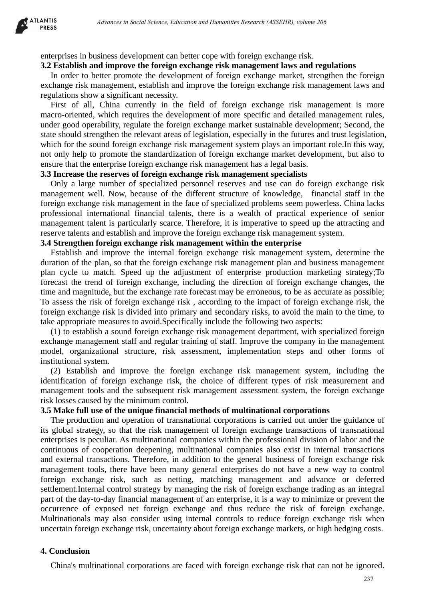enterprises in business development can better cope with foreign exchange risk.

#### **3.2 Establish and improve the foreign exchange risk management laws and regulations**

In order to better promote the development of foreign exchange market, strengthen the foreign exchange risk management, establish and improve the foreign exchange risk management laws and regulations show a significant necessity.

First of all, China currently in the field of foreign exchange risk management is more macro-oriented, which requires the development of more specific and detailed management rules, under good operability, regulate the foreign exchange market sustainable development; Second, the state should strengthen the relevant areas of legislation, especially in the futures and trust legislation, which for the sound foreign exchange risk management system plays an important role.In this way, not only help to promote the standardization of foreign exchange market development, but also to ensure that the enterprise foreign exchange risk management has a legal basis.

#### **3.3 Increase the reserves of foreign exchange risk management specialists**

Only a large number of specialized personnel reserves and use can do foreign exchange risk management well. Now, because of the different structure of knowledge, financial staff in the foreign exchange risk management in the face of specialized problems seem powerless. China lacks professional international financial talents, there is a wealth of practical experience of senior management talent is particularly scarce. Therefore, it is imperative to speed up the attracting and reserve talents and establish and improve the foreign exchange risk management system.

#### **3.4 Strengthen foreign exchange risk management within the enterprise**

Establish and improve the internal foreign exchange risk management system, determine the duration of the plan, so that the foreign exchange risk management plan and business management plan cycle to match. Speed up the adjustment of enterprise production marketing strategy;To forecast the trend of foreign exchange, including the direction of foreign exchange changes, the time and magnitude, but the exchange rate forecast may be erroneous, to be as accurate as possible; To assess the risk of foreign exchange risk , according to the impact of foreign exchange risk, the foreign exchange risk is divided into primary and secondary risks, to avoid the main to the time, to take appropriate measures to avoid.Specifically include the following two aspects:

(1) to establish a sound foreign exchange risk management department, with specialized foreign exchange management staff and regular training of staff. Improve the company in the management model, organizational structure, risk assessment, implementation steps and other forms of institutional system.

(2) Establish and improve the foreign exchange risk management system, including the identification of foreign exchange risk, the choice of different types of risk measurement and management tools and the subsequent risk management assessment system, the foreign exchange risk losses caused by the minimum control.

#### **3.5 Make full use of the unique financial methods of multinational corporations**

The production and operation of transnational corporations is carried out under the guidance of its global strategy, so that the risk management of foreign exchange transactions of transnational enterprises is peculiar. As multinational companies within the professional division of labor and the continuous of cooperation deepening, multinational companies also exist in internal transactions and external transactions. Therefore, in addition to the general business of foreign exchange risk management tools, there have been many general enterprises do not have a new way to control foreign exchange risk, such as netting, matching management and advance or deferred settlement.Internal control strategy by managing the risk of foreign exchange trading as an integral part of the day-to-day financial management of an enterprise, it is a way to minimize or prevent the occurrence of exposed net foreign exchange and thus reduce the risk of foreign exchange. Multinationals may also consider using internal controls to reduce foreign exchange risk when uncertain foreign exchange risk, uncertainty about foreign exchange markets, or high hedging costs. *Advances in Social Science, Education and Humanities Research (ASSEHR), where 266*<br>
Stinces development can better cope with foreign exchange raisk.<br>
Ringworch the Gregin of Natural Company and regulations<br>
and improve th

## **4. Conclusion**

China's multinational corporations are faced with foreign exchange risk that can not be ignored.